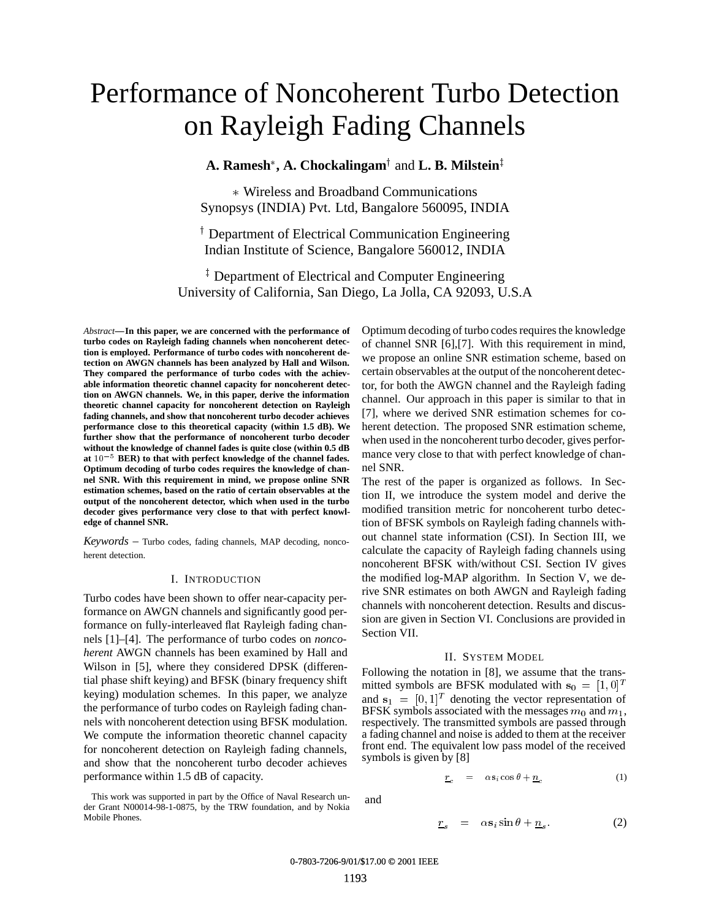# Performance of Noncoherent Turbo Detection on Rayleigh Fading Channels

**A. Ramesh\*, A. Chockalingam† and L. B. Milstein‡** 

 Wireless and Broadband Communications Synopsys (INDIA) Pvt. Ltd, Bangalore 560095, INDIA

<sup>†</sup> Department of Electrical Communication Engineering Indian Institute of Science, Bangalore 560012, INDIA

<sup>‡</sup> Department of Electrical and Computer Engineering University of California, San Diego, La Jolla, CA 92093, U.S.A

*Abstract***—In this paper, we are concerned with the performance of turbo codes on Rayleigh fading channels when noncoherent detection is employed. Performance of turbo codes with noncoherent detection on AWGN channels has been analyzed by Hall and Wilson. They compared the performance of turbo codes with the achievable information theoretic channel capacity for noncoherent detection on AWGN channels. We, in this paper, derive the information theoretic channel capacity for noncoherent detection on Rayleigh fading channels, and show that noncoherent turbo decoder achieves performance close to this theoretical capacity (within 1.5 dB). We further show that the performance of noncoherent turbo decoder without the knowledge of channel fades is quite close (within 0.5 dB** at  $10^{-5}$  BER) to that with perfect knowledge of the channel fades. **Optimum decoding of turbo codes requires the knowledge of channel SNR. With this requirement in mind, we propose online SNR estimation schemes, based on the ratio of certain observables at the output of the noncoherent detector, which when used in the turbo decoder gives performance very close to that with perfect knowledge of channel SNR.**

*Keywords* – Turbo codes, fading channels, MAP decoding, noncoherent detection.

## I. INTRODUCTION

Turbo codes have been shown to offer near-capacity performance on AWGN channels and significantly good performance on fully-interleaved flat Rayleigh fading channels [1]–[4]. The performance of turbo codes on *noncoherent* AWGN channels has been examined by Hall and Wilson in [5], where they considered DPSK (differential phase shift keying) and BFSK (binary frequency shift keying) modulation schemes. In this paper, we analyze the performance of turbo codes on Rayleigh fading channels with noncoherent detection using BFSK modulation. We compute the information theoretic channel capacity for noncoherent detection on Rayleigh fading channels, and show that the noncoherent turbo decoder achieves performance within 1.5 dB of capacity.

This work was supported in part by the Office of Naval Research under Grant N00014-98-1-0875, by the TRW foundation, and by Nokia Mobile Phones.

Optimum decoding of turbo codes requires the knowledge of channel SNR [6],[7]. With this requirement in mind, we propose an online SNR estimation scheme, based on certain observables at the output of the noncoherent detector, for both the AWGN channel and the Rayleigh fading channel. Our approach in this paper is similar to that in [7], where we derived SNR estimation schemes for coherent detection. The proposed SNR estimation scheme, when used in the noncoherent turbo decoder, gives performance very close to that with perfect knowledge of channel SNR.

The rest of the paper is organized as follows. In Section II, we introduce the system model and derive the modified transition metric for noncoherent turbo detection of BFSK symbols on Rayleigh fading channels without channel state information (CSI). In Section III, we calculate the capacity of Rayleigh fading channels using noncoherent BFSK with/without CSI. Section IV gives the modified log-MAP algorithm. In Section V, we derive SNR estimates on both AWGN and Rayleigh fading channels with noncoherent detection. Results and discussion are given in Section VI. Conclusions are provided in Section VII.

#### II. SYSTEM MODEL

Following the notation in [8], we assume that the transmitted symbols are BFSK modulated with  $s_0 = [1, 0]^T$ and  $s_1 = [0,1]^T$  denoting the vector representation of BFSK symbols associated with the messages  $m_0$  and  $m_1$ , respectively. The transmitted symbols are passed through a fading channel and noise is added to them at the receiver front end. The equivalent low pass model of the received symbols is given by [8]

$$
\underline{r}_c = \alpha \mathbf{s}_i \cos \theta + \underline{n}_c \tag{1}
$$

and

$$
\underline{r}_s = \alpha \mathbf{s}_i \sin \theta + \underline{n}_s. \tag{2}
$$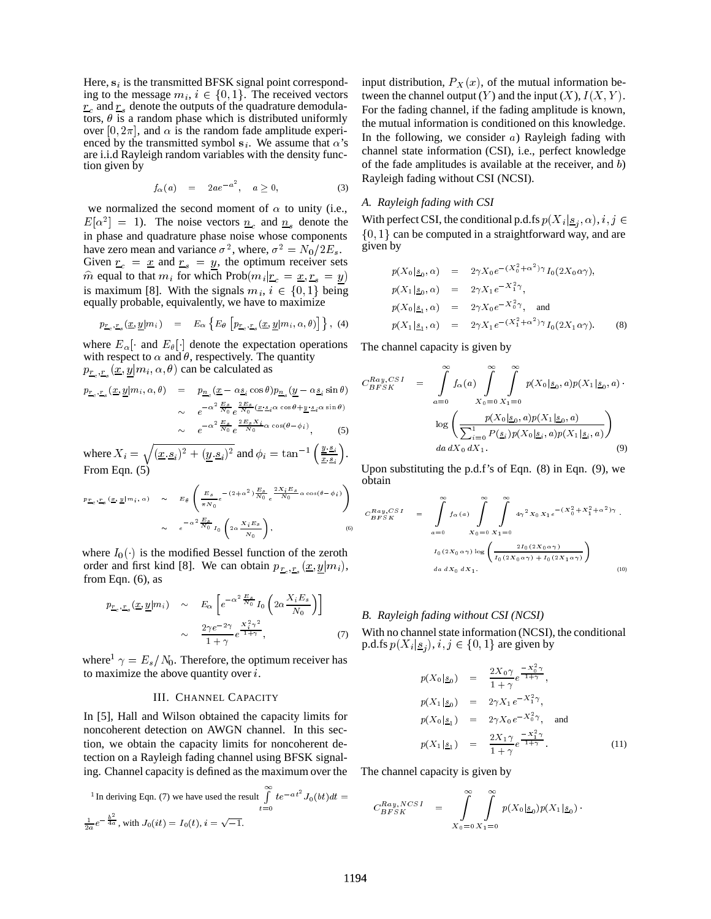Here,  $s_i$  is the transmitted BFSK signal point corresponding to the message  $m_i$ ,  $i \in \{0, 1\}$ . The received vectors  $r_c$  and  $r_s$  denote the outputs of the quadrature demodulators,  $\theta$  is a random phase which is distributed uniformly over [0,  $2\pi$ ], and  $\alpha$  is the random fade amplitude experienced by the transmitted symbol s<sub>i</sub>. We assume that  $\alpha$ 's are i.i.d Rayleigh random variables with the density function given by

$$
f_{\alpha}(a) = 2ae^{-a^2}, \quad a \ge 0,
$$
 (3)

we normalized the second moment of  $\alpha$  to unity (i.e.,  $E[\alpha^2] = 1$ ). The noise vectors  $n_c$  and  $n_s$  denote the in phase and quadrature phase noise whose components have zero mean and variance  $\sigma^2$ , where,  $\sigma^2 = N_0/2E_s$ . Given  $r_c = \frac{x}{g}$  and  $r_s = y$ , the optimum receiver sets  $\hat{m}$  equal to that  $m_i$  for which Prob $(m_i | r_c = x, r_s = y)$ is maximum [8]. With the signals  $m_i, i \in \{0, 1\}$  being equally probable, equivalently, we have to maximize

$$
p_{\underline{r}_c, \underline{r}_s}(\underline{x}, \underline{y}|m_i) = E_{\alpha} \left\{ E_{\theta} \left[ p_{\underline{r}_c, \underline{r}_s}(\underline{x}, \underline{y}|m_i, \alpha, \theta) \right] \right\}, (4)
$$

where  $E_{\alpha}$  and  $E_{\theta}$  denote the expectation operations with respect to  $\alpha$  and  $\theta$ , respectively. The quantity  $p_{\underline{r}_c, \underline{r}_s}(\underline{x}, \underline{y} | m_i, \alpha, \theta)$  can be calculated as

$$
p_{\underline{r}_c, \underline{r}_s}(\underline{x}, \underline{y}|m_i, \alpha, \theta) = p_{\underline{n}_c}(\underline{x} - \alpha \underline{s}_i \cos \theta) p_{\underline{n}_s}(\underline{y} - \alpha \underline{s}_i \sin \theta)
$$
  
\n
$$
\sim e^{-\alpha^2 \frac{E_s}{N_0} e^{\frac{2E_s}{N_0}(\underline{x} \cdot \underline{s}_i \alpha \cos \theta + \underline{y} \cdot \underline{s}_i \alpha \sin \theta)}
$$
  
\n
$$
\sim e^{-\alpha^2 \frac{E_s}{N_0} e^{\frac{2E_s X_i}{N_0} \alpha \cos(\theta - \phi_i)},
$$
 (5)

where  $X_i = \sqrt{(\underline{x}, \underline{s}_i)^2 + (\underline{y}, \underline{s}_i)^2}$  and  $\phi_i = \tan^{-1} \left( \frac{\underline{y}, \underline{s}_i}{\underline{x}, \underline{s}_i} \right)$ . From Eqn. (5)

$$
\begin{array}{ccc}\np_{\underline{r}_c, \underline{r}_s} \left(\underline{x}, \underline{y} | m_i, \alpha\right) & \sim & E_\theta \left(\frac{E_s}{\pi N_0} e^{-\left(2 + \alpha^2\right)} \frac{E_s}{N_0} e^{\frac{2X_i E_s}{N_0} \alpha \cos\left(\theta - \phi_i\right)}\right) \\
& \sim & e^{-\alpha^2 \frac{E_s}{N_0}} I_0 \left(2\alpha \frac{X_i E_s}{N_0}\right),\n\end{array} \tag{6}
$$

where  $I_0(\cdot)$  is the modified Bessel function of the zeroth order and first kind [8]. We can obtain  $p_{r_c, r_s}(x, y|m_i)$ , from Eqn. (6), as

$$
p_{\underline{r}_c,\underline{r}_s}(\underline{x},\underline{y}|m_i) \sim E_{\alpha} \left[ e^{-\alpha^2 \frac{E_s}{N_0}} I_0 \left( 2\alpha \frac{X_i E_s}{N_0} \right) \right]
$$

$$
\sim \frac{2\gamma e^{-2\gamma}}{1+\gamma} e^{\frac{X_i^2 \gamma^2}{1+\gamma}}, \tag{7}
$$

where<sup>1</sup>  $\gamma = E_s/N_0$ . Therefore, the optimum receiver has to maximize the above quantity over  $i$ .

#### III. CHANNEL CAPACITY

In [5], Hall and Wilson obtained the capacity limits for noncoherent detection on AWGN channel. In this section, we obtain the capacity limits for noncoherent detection on a Rayleigh fading channel using BFSK signaling. Channel capacity is defined as the maximum over the

<sup>1</sup>In deriving Eqn. (7) we have used the result 
$$
\int_{t=0}^{\infty} te^{-at^2} J_0(bt) dt = C_{BFSK}^{Ray, N}
$$

$$
\frac{1}{2a}e^{-\frac{b^2}{4a}}, \text{ with } J_0(it) = I_0(t), i = \sqrt{-1}.
$$

input distribution,  $P_X(x)$ , of the mutual information between the channel output  $(Y)$  and the input  $(X)$ ,  $I(X, Y)$ . For the fading channel, if the fading amplitude is known, the mutual information is conditioned on this knowledge. In the following, we consider  $a$ ) Rayleigh fading with channel state information (CSI), i.e., perfect knowledge of the fade amplitudes is available at the receiver, and  $b$ ) Rayleigh fading without CSI (NCSI).

#### *A. Rayleigh fading with CSI*

With perfect CSI, the conditional p.d.fs  $p(X_i | \underline{s}_i, \alpha), i, j \in$ j  $\{0, 1\}$  can be computed in a straightforward way, and are given by

$$
p(X_0|S_0, \alpha) = 2\gamma X_0 e^{-(X_0^2 + \alpha^2)\gamma} I_0(2X_0\alpha\gamma),
$$
  
\n
$$
p(X_1|S_0, \alpha) = 2\gamma X_1 e^{-X_1^2\gamma},
$$
  
\n
$$
p(X_0|S_1, \alpha) = 2\gamma X_0 e^{-X_0^2\gamma},
$$
 and  
\n
$$
p(X_1|S_1, \alpha) = 2\gamma X_1 e^{-(X_1^2 + \alpha^2)\gamma} I_0(2X_1\alpha\gamma).
$$
 (8)

The channel capacity is given by

$$
C_{BFSK}^{Ray,CSI} = \int_{a=0}^{\infty} f_{\alpha}(a) \int_{X_0=0}^{\infty} \int_{X_1=0}^{\infty} p(X_0 | \underline{s}_0, a) p(X_1 | \underline{s}_0, a)
$$

$$
\log \left( \frac{p(X_0 | \underline{s}_0, a) p(X_1 | \underline{s}_0, a)}{\sum_{i=0}^{1} P(\underline{s}_i) p(X_0 | \underline{s}_i, a) p(X_1 | \underline{s}_i, a)} \right)
$$

$$
da \, dX_0 \, dX_1.
$$
(9)

Upon substituting the p.d.f's of Eqn. (8) in Eqn. (9), we obtain

$$
C_{BFSK}^{Ray,CSI} = \int_{a=0}^{\infty} f_{\alpha}(a) \int_{X_0=0}^{\infty} \int_{X_1=0}^{\infty} 4\gamma^2 X_0 X_1 e^{-(X_0^2 + X_1^2 + \alpha^2)\gamma}.
$$
  

$$
I_0(2X_0 \alpha \gamma) \log \left( \frac{2I_0(2X_0 \alpha \gamma)}{I_0(2X_0 \alpha \gamma) + I_0(2X_1 \alpha \gamma)} \right)
$$
  

$$
da dX_0 dX_1.
$$
 (10)

### *B. Rayleigh fading without CSI (NCSI)*

With no channel state information (NCSI), the conditional p.d.fs  $p(X_i | \underline{s}_i)$ ,  $i, j \in \{0, 1\}$  are given by

$$
p(X_0 | \underline{s}_0) = \frac{2X_0 \gamma}{1 + \gamma} e^{-\frac{X_0^2 \gamma}{1 + \gamma}},
$$
  
\n
$$
p(X_1 | \underline{s}_0) = 2\gamma X_1 e^{-X_1^2 \gamma},
$$
  
\n
$$
p(X_0 | \underline{s}_1) = 2\gamma X_0 e^{-X_0^2 \gamma},
$$
 and  
\n
$$
p(X_1 | \underline{s}_1) = \frac{2X_1 \gamma}{1 + \gamma} e^{-\frac{X_1^2 \gamma}{1 + \gamma}}.
$$
 (11)

The channel capacity is given by

$$
C_{BFSK}^{Ray, NCSI} = \int_{X_0=0}^{\infty} \int_{X_1=0}^{\infty} p(X_0|_{S_0}) p(X_1|_{S_0}) \cdot
$$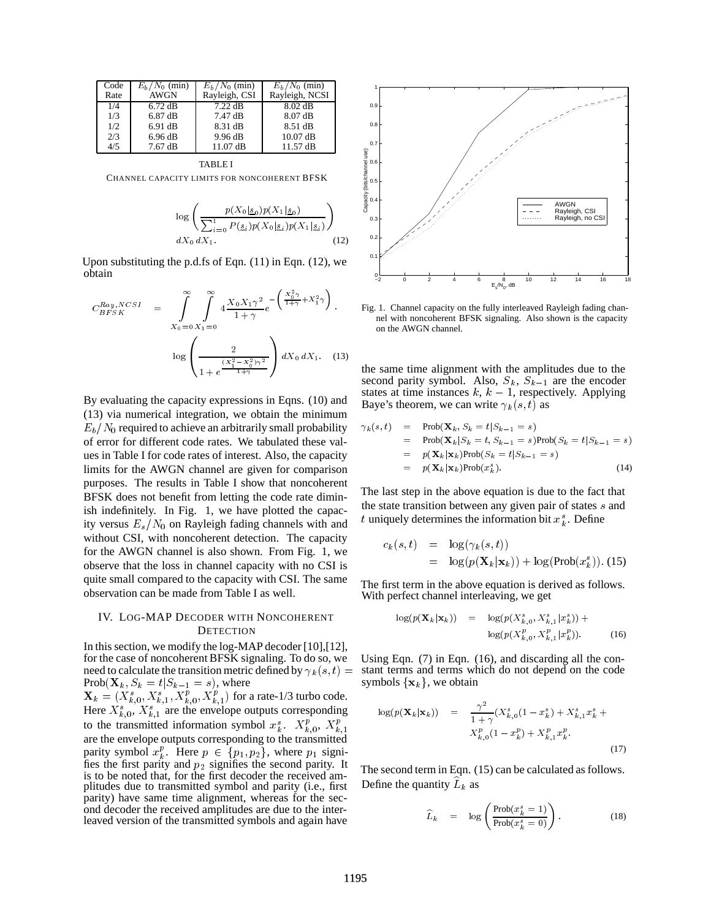| Code | $E_h/N_0$ (min) | $E_h/N_0$ (min)   | $E_h/N_0$ (min)   |
|------|-----------------|-------------------|-------------------|
| Rate | <b>AWGN</b>     | Rayleigh, CSI     | Rayleigh, NCSI    |
| 1/4  | $6.72$ dB       | $7.22 \text{ dB}$ | $8.02 \text{ dB}$ |
| 1/3  | $6.87$ dB       | 7.47 dB           | 8.07 dB           |
| 1/2  | 6.91 dB         | 8.31 dB           | 8.51 dB           |
| 2/3  | 6.96 dB         | 9.96 dB           | $10.07$ dB        |
| 4/5  | $7.67$ dB       | $11.07$ dB        | 11.57 dB          |

CHANNEL CAPACITY LIMITS FOR NONCOHERENT BFSK

$$
\log \left( \frac{p(X_0|_{\mathcal{S}_0})p(X_1|_{\mathcal{S}_0})}{\sum_{i=0}^1 P(\underline{s}_i)p(X_0|_{\mathcal{S}_i})p(X_1|_{\mathcal{S}_i})} \right) \tag{12}
$$

Upon substituting the p.d.fs of Eqn. (11) in Eqn. (12), we obtain

$$
C_{BFSK}^{Ray, NCSI} = \int_{X_0=0}^{\infty} \int_{X_1=0}^{\infty} 4 \frac{X_0 X_1 \gamma^2}{1+\gamma} e^{-\left(\frac{X_0^2 \gamma}{1+\gamma} + X_1^2 \gamma\right)} \text{ Fig. 1}\n\log \left(\frac{2}{1+e^{\frac{(X_1^2-X_0^2)\gamma^2}{1+\gamma}}}\right) dX_0 dX_1. \quad (13)
$$
\nthe second

By evaluating the capacity expressions in Eqns. (10) and (13) via numerical integration, we obtain the minimum  $E_b/N_0$  required to achieve an arbitrarily small probability of error for different code rates. We tabulated these values in Table I for code rates of interest. Also, the capacity limits for the AWGN channel are given for comparison purposes. The results in Table I show that noncoherent BFSK does not benefit from letting the code rate diminish indefinitely. In Fig. 1, we have plotted the capacity versus  $E_s/N_0$  on Rayleigh fading channels with and without CSI, with noncoherent detection. The capacity for the AWGN channel is also shown. From Fig. 1, we observe that the loss in channel capacity with no CSI is quite small compared to the capacity with CSI. The same observation can be made from Table I as well.

## IV. LOG-MAP DECODER WITH NONCOHERENT **DETECTION**

In this section, we modify the log-MAP decoder [10],[12], for the case of noncoherent BFSK signaling. To do so, we need to calculate the transition metric defined by  $\gamma_k(s,t) =$  $Prob(\mathbf{X}_k, S_k = t | S_{k-1} = s)$ , where  $\mathbf{X}_k = (X_{k,0}^s, X_{k,1}^s, X_{k,0}^p, X_{k,1}^p)$  for a rate-1/3 turbo code. Here  $X_{k,0}^s$ ,  $X_{k,1}^s$  are the envelope outputs corresponding to the transmitted information symbol  $x_k^s$ .  $X_{k,0}^p$ ,  $X_{k,1}^p$ are the envelope outputs corresponding to the transmitted parity symbol  $x_k^p$ . Here  $p \in \{p_1, p_2\}$ , where  $p_1$  signifies the first parity and  $p_2$  signifies the second parity. It is to be noted that, for the first decoder the received amplitudes due to transmitted symbol and parity (i.e., first parity) have same time alignment, whereas for the second decoder the received amplitudes are due to the interleaved version of the transmitted symbols and again have



Fig. 1. Channel capacity on the fully interleaved Rayleigh fading channel with noncoherent BFSK signaling. Also shown is the capacity on the AWGN channel.

the same time alignment with the amplitudes due to the second parity symbol. Also,  $S_k$ ,  $S_{k-1}$  are the encoder states at time instances  $k, k - 1$ , respectively. Applying Baye's theorem, we can write  $\gamma_k(s, t)$  as

$$
\gamma_k(s,t) = \text{Prob}(\mathbf{X}_k, S_k = t | S_{k-1} = s)
$$
  
\n
$$
= \text{Prob}(\mathbf{X}_k | S_k = t, S_{k-1} = s) \text{Prob}(S_k = t | S_{k-1} = s)
$$
  
\n
$$
= p(\mathbf{X}_k | \mathbf{x}_k) \text{Prob}(S_k = t | S_{k-1} = s)
$$
  
\n
$$
= p(\mathbf{X}_k | \mathbf{x}_k) \text{Prob}(x_k^s).
$$
 (14)

The last step in the above equation is due to the fact that the state transition between any given pair of states <sup>s</sup> and t uniquely determines the information bit  $x_k^s$ . Define

$$
c_k(s,t) = \log(\gamma_k(s,t))
$$
  
= 
$$
\log(p(\mathbf{X}_k|\mathbf{x}_k)) + \log(\text{Prob}(x_k^s)).
$$
 (15)

The first term in the above equation is derived as follows. With perfect channel interleaving, we get

$$
\log(p(\mathbf{X}_k | \mathbf{x}_k)) = \log(p(X_{k,0}^s, X_{k,1}^s | x_k^s)) + \log(p(X_{k,0}^p, X_{k,1}^p | x_k^p)).
$$
\n(16)

Using Eqn. (7) in Eqn. (16), and discarding all the constant terms and terms which do not depend on the code symbols  $\{x_k\}$ , we obtain

$$
\log(p(\mathbf{X}_k|\mathbf{x}_k)) = \frac{\gamma^2}{1+\gamma}(X_{k,0}^s(1-x_k^s) + X_{k,1}^s x_k^s + X_{k,0}^p(1-x_k^p) + X_{k,1}^p x_k^p. \tag{17}
$$

The second term in Eqn. (15) can be calculated as follows. Define the quantity  $L_k$  as

$$
\widehat{L}_k = \log \left( \frac{\text{Prob}(x_k^s = 1)}{\text{Prob}(x_k^s = 0)} \right). \tag{18}
$$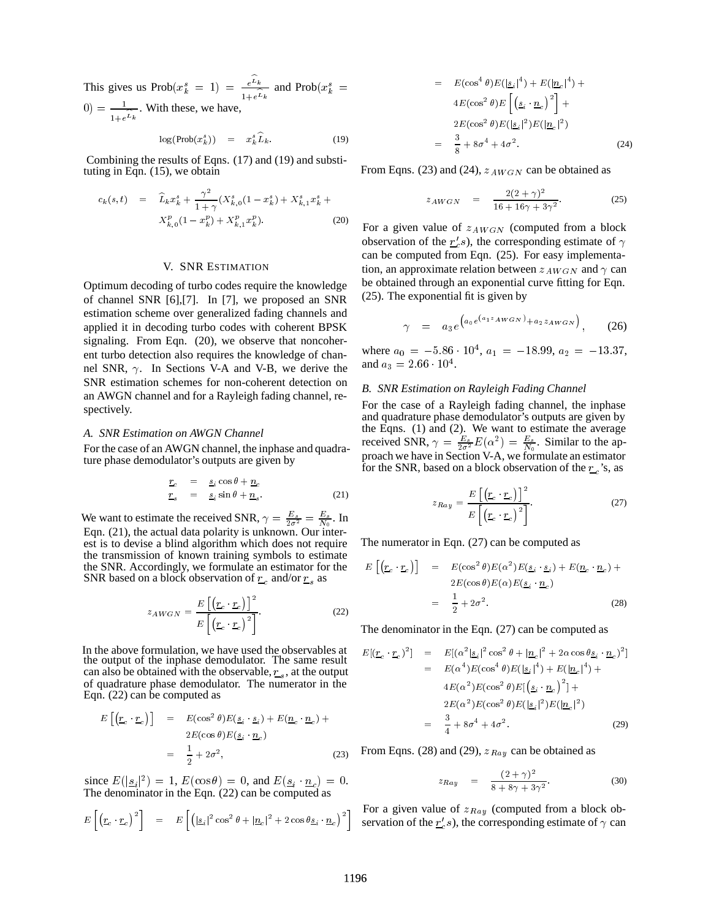This gives us  $\text{Prob}(x_k^s = 1) = \frac{e^{-k}}{1 + e^{L_k}}$  and  $\text{Prob}(x_k^s = 1)$  $(0) = \frac{1}{1 + e^{L_k}}$ . With these, we have,

$$
\log(\text{Prob}(x_k^s)) = x_k^s L_k. \tag{19}
$$

Combining the results of Eqns. (17) and (19) and substituting in Eqn. (15), we obtain

$$
c_k(s,t) = \widehat{L}_k x_k^s + \frac{\gamma^2}{1+\gamma} (X_{k,0}^s (1-x_k^s) + X_{k,1}^s x_k^s + X_{k,0}^p (1-x_k^p) + X_{k,1}^p x_k^p).
$$
 (20) For a

## V. SNR ESTIMATION

Optimum decoding of turbo codes require the knowledge of channel SNR [6],[7]. In [7], we proposed an SNR estimation scheme over generalized fading channels and applied it in decoding turbo codes with coherent BPSK signaling. From Eqn. (20), we observe that noncoherent turbo detection also requires the knowledge of channel SNR,  $\gamma$ . In Sections V-A and V-B, we derive the SNR estimation schemes for non-coherent detection on an AWGN channel and for a Rayleigh fading channel, respectively.

#### *A. SNR Estimation on AWGN Channel*

For the case of an AWGN channel, the inphase and quadrature phase demodulator's outputs are given by

$$
\begin{array}{rcl}\n\underline{r}_c & = & \underline{s}_i \cos \theta + \underline{n}_c \\
\underline{r}_s & = & \underline{s}_i \sin \theta + \underline{n}_s.\n\end{array} \tag{21}
$$

We want to estimate the received SNR,  $\gamma = \frac{E_s}{2\sigma^2} = \frac{E_s}{N_0}$ . In Eqn. (21), the actual data polarity is unknown. Our interest is to devise a blind algorithm which does not require the transmission of known training symbols to estimate the SNR. Accordingly, we formulate an estimator for the SNR based on a block observation of  $r_c$  and/or  $r_s$  as

$$
z_{AWGN} = \frac{E\left[\left(\underline{r}_c \cdot \underline{r}_c\right)\right]^2}{E\left[\left(\underline{r}_c \cdot \underline{r}_c\right)^2\right]}.
$$
 (22)

In the above formulation, we have used the observables at the output of the inphase demodulator. The same result can also be obtained with the observable,  $r_s$ , at the output of quadrature phase demodulator. The numerator in the Eqn. (22) can be computed as

$$
E\left[\left(\underline{r}_c \cdot \underline{r}_c\right)\right] = E(\cos^2 \theta)E(\underline{s}_i \cdot \underline{s}_i) + E(\underline{n}_c \cdot \underline{n}_c) + 2E(\cos \theta)E(\underline{s}_i \cdot \underline{n}_c)
$$
  

$$
= \frac{1}{2} + 2\sigma^2, \qquad (23)
$$
 From

since  $E(|\mathbf{s}_i|^2) = 1$ ,  $E(\cos \theta) = 0$ , and  $E(\mathbf{s}_i \cdot \mathbf{n}_c) = 0$ . The denominator in the Eqn. (22) can be computed as

$$
E\left[\left(\underline{r}_c \cdot \underline{r}_c\right)^2\right] = E\left[\left(|\underline{s}_i|^2 \cos^2 \theta + |\underline{n}_c|^2 + 2 \cos \theta \underline{s}_i \cdot \underline{n}_c\right)^2\right]
$$

$$
= E(\cos^{4} \theta) E(|\underline{s}_{i}|^{4}) + E(|\underline{n}_{c}|^{4}) + 4E(\cos^{2} \theta) E\left[ (\underline{s}_{i} \cdot \underline{n}_{c})^{2} \right] + 2E(\cos^{2} \theta) E(|\underline{s}_{i}|^{2}) E(|\underline{n}_{c}|^{2})
$$
  

$$
= \frac{3}{8} + 8\sigma^{4} + 4\sigma^{2}. \qquad (24)
$$

From Eqns. (23) and (24),  $z_{AWGN}$  can be obtained as

$$
z_{AWGN} = \frac{2(2+\gamma)^2}{16+16\gamma+3\gamma^2}.
$$
 (25)

For a given value of  $z_{AWGN}$  (computed from a block observation of the  $r_c$ s), the corresponding estimate of  $\gamma$ can be computed from Eqn. (25). For easy implementation, an approximate relation between  $z_{AWGN}$  and  $\gamma$  can be obtained through an exponential curve fitting for Eqn. (25). The exponential fit is given by

$$
\gamma = a_3 e^{\left(a_0 e^{\left(a_1 z_A w_{GN}\right)} + a_2 z_A w_{GN}\right)}, \quad (26)
$$

where  $a_0 = -5.86 \cdot 10^4$ ,  $a_1 = -18.99$ ,  $a_2 = -13.37$ , and  $a_3 = 2.66 \cdot 10^4$ .

### *B. SNR Estimation on Rayleigh Fading Channel*

For the case of a Rayleigh fading channel, the inphase and quadrature phase demodulator's outputs are given by the Eqns. (1) and (2). We want to estimate the average received SNR,  $\gamma = \frac{E_s}{2\sigma^2} E(\alpha^2) = \frac{E_s}{N_0}$ . Similar to the approach we have in Section V-A, we formulate an estimator for the SNR, based on a block observation of the  $r_c$ 's, as

$$
z_{Ray} = \frac{E\left[\left(\underline{r}_c \cdot \underline{r}_c\right)\right]^2}{E\left[\left(\underline{r}_c \cdot \underline{r}_c\right)^2\right]}.
$$
 (27)

The numerator in Eqn. (27) can be computed as

$$
E\left[\left(\underline{r}_c \cdot \underline{r}_c\right)\right] = E(\cos^2 \theta) E(\alpha^2) E(\underline{s}_i \cdot \underline{s}_i) + E(\underline{n}_c \cdot \underline{n}_c) + 2E(\cos \theta) E(\alpha) E(\underline{s}_i \cdot \underline{n}_c)
$$
  

$$
= \frac{1}{2} + 2\sigma^2. \tag{28}
$$

The denominator in the Eqn. (27) can be computed as

$$
E[(\underline{r}_c \cdot \underline{r}_c)^2] = E[(\alpha^2 | \underline{s}_i|^2 \cos^2 \theta + |\underline{n}_c|^2 + 2\alpha \cos \theta \underline{s}_i \cdot \underline{n}_c)^2]
$$
  
\n
$$
= E(\alpha^4) E(\cos^4 \theta) E(|\underline{s}_i|^4) + E(|\underline{n}_c|^4) + 4E(\alpha^2) E(\cos^2 \theta) E[(\underline{s}_i \cdot \underline{n}_c)^2] + 2E(\alpha^2) E(\cos^2 \theta) E(|\underline{s}_i|^2) E(|\underline{n}_c|^2)
$$
  
\n
$$
= \frac{3}{4} + 8\sigma^4 + 4\sigma^2. \tag{29}
$$

From Eqns. (28) and (29),  $z_{Ray}$  can be obtained as

$$
z_{Ray} = \frac{(2+\gamma)^2}{8+8\gamma+3\gamma^2}.
$$
 (30)

 $\left[\frac{n_c}{2}\right]^2$  servation of the  $r_c$ 's), the corresponding estimate of  $\gamma$  can For a given value of  $z_{Ray}$  (computed from a block ob-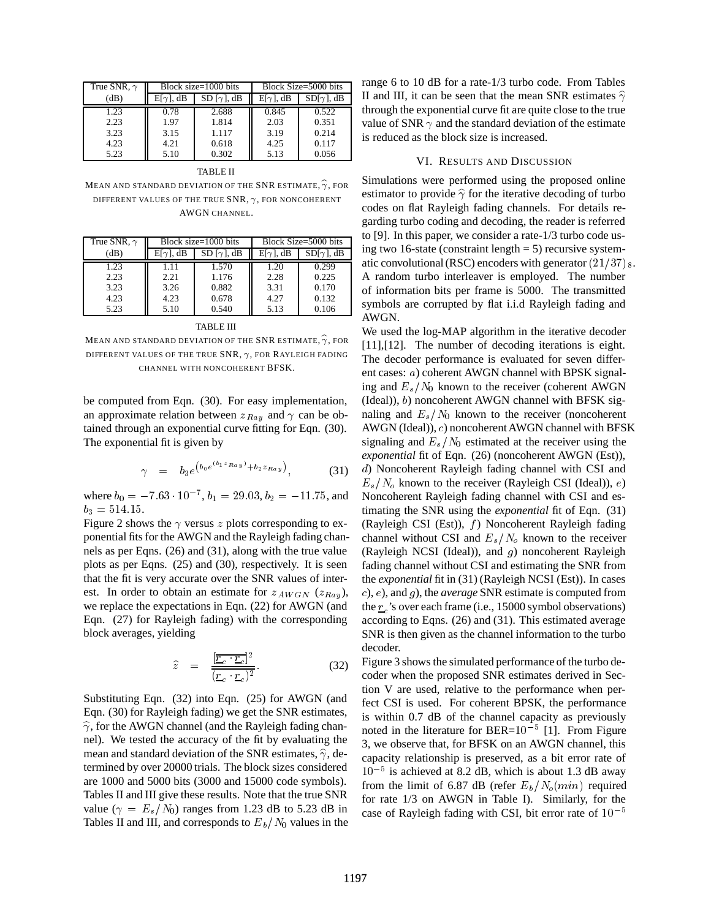| True SNR, $\gamma$ | Block size=1000 bits |                   | Block Size=5000 bits |                   |
|--------------------|----------------------|-------------------|----------------------|-------------------|
| (dB)               | $E[\gamma]$ , dB     | $SD[\gamma]$ , dB | $E[\gamma]$ , dB     | $SD[\gamma]$ , dB |
| 1.23               | 0.78                 | 2.688             | 0.845                | 0.522             |
| 2.23               | 1.97                 | 1.814             | 2.03                 | 0.351             |
| 3.23               | 3.15                 | 1.117             | 3.19                 | 0.214             |
| 4.23               | 4.21                 | 0.618             | 4.25                 | 0.117             |
| 5.23               | 5.10                 | 0.302             | 5.13                 | 0.056             |
|                    |                      |                   |                      |                   |

TABLE II

MEAN AND STANDARD DEVIATION OF THE SNR ESTIMATE,  $\widehat{\gamma}$ , FOR DIFFERENT VALUES OF THE TRUE  $SNR$ ,  $\gamma$ , for noncoherent AWGN CHANNEL.

| True SNR, $\gamma$ | Block size= $1000$ bits |                   | Block Size=5000 bits |                   |
|--------------------|-------------------------|-------------------|----------------------|-------------------|
| (dB)               | $E[\gamma]$ , dB        | $SD[\gamma]$ , dB | $E[\gamma]$ , dB     | $SD[\gamma]$ , dB |
| 1.23               | 1.11                    | 1.570             | 1.20                 | 0.299             |
| 2.23               | 2.21                    | 1.176             | 2.28                 | 0.225             |
| 3.23               | 3.26                    | 0.882             | 3.31                 | 0.170             |
| 4.23               | 4.23                    | 0.678             | 4.27                 | 0.132             |
| 5.23               | 5.10                    | 0.540             | 5.13                 | 0.106             |

MEAN AND STANDARD DEVIATION OF THE SNR ESTIMATE,  $\widehat{\gamma}$ , FOR DIFFERENT VALUES OF THE TRUE SNR,  $\gamma$ , FOR RAYLEIGH FADING CHANNEL WITH NONCOHERENT BFSK.

be computed from Eqn. (30). For easy implementation, an approximate relation between  $z_{Ray}$  and  $\gamma$  can be obtained through an exponential curve fitting for Eqn. (30). The exponential fit is given by

$$
\gamma = b_3 e^{\left(b_0 e^{(b_1 z_{Ray})} + b_2 z_{Ray}\right)}, \tag{31}
$$

where  $b_0 = -7.63 \cdot 10^{-7}$ ,  $b_1 = 29.03$ ,  $b_2 = -11.75$ , and  $b_3 = 514.15.$ 

Figure 2 shows the  $\gamma$  versus z plots corresponding to exponential fits for the AWGN and the Rayleigh fading channels as per Eqns. (26) and (31), along with the true value plots as per Eqns. (25) and (30), respectively. It is seen that the fit is very accurate over the SNR values of interest. In order to obtain an estimate for  $z_{AWGN}$  ( $z_{Ray}$ ), we replace the expectations in Eqn. (22) for AWGN (and Eqn. (27) for Rayleigh fading) with the corresponding block averages, yielding

$$
\widehat{z} = \frac{\frac{[\overline{r}_c \cdot \overline{r}_c]^2}{(\overline{r}_c \cdot \overline{r}_c)^2}}{(\overline{r}_c \cdot \overline{r}_c)^2}.
$$
 (32)

Substituting Eqn. (32) into Eqn. (25) for AWGN (and Eqn. (30) for Rayleigh fading) we get the SNR estimates,  $\hat{\gamma}$ , for the AWGN channel (and the Rayleigh fading channel). We tested the accuracy of the fit by evaluating the mean and standard deviation of the SNR estimates,  $\hat{\gamma}$ , determined by over 20000 trials. The block sizes considered are 1000 and 5000 bits (3000 and 15000 code symbols). Tables II and III give these results. Note that the true SNR value ( $\gamma = E_s/N_0$ ) ranges from 1.23 dB to 5.23 dB in Tables II and III, and corresponds to  $E_b/N_0$  values in the range 6 to 10 dB for a rate-1/3 turbo code. From Tables II and III, it can be seen that the mean SNR estimates  $\hat{\gamma}$ through the exponential curve fit are quite close to the true value of SNR  $\gamma$  and the standard deviation of the estimate is reduced as the block size is increased.

#### VI. RESULTS AND DISCUSSION

Simulations were performed using the proposed online estimator to provide  $\hat{\gamma}$  for the iterative decoding of turbo codes on flat Rayleigh fading channels. For details regarding turbo coding and decoding, the reader is referred to [9]. In this paper, we consider a rate-1/3 turbo code using two 16-state (constraint length  $= 5$ ) recursive systematic convolutional (RSC) encoders with generator  $(21/37)$  s. A random turbo interleaver is employed. The number of information bits per frame is 5000. The transmitted symbols are corrupted by flat i.i.d Rayleigh fading and AWGN.

We used the log-MAP algorithm in the iterative decoder [11],[12]. The number of decoding iterations is eight. The decoder performance is evaluated for seven different cases: <sup>a</sup>) coherent AWGN channel with BPSK signaling and  $E_s/N_0$  known to the receiver (coherent AWGN  $(Ideal), b)$  noncoherent AWGN channel with BFSK signaling and  $E_s/N_0$  known to the receiver (noncoherent AWGN (Ideal)), <sup>c</sup>) noncoherent AWGN channel with BFSK signaling and  $E_s/N_0$  estimated at the receiver using the *exponential* fit of Eqn. (26) (noncoherent AWGN (Est)), <sup>d</sup>) Noncoherent Rayleigh fading channel with CSI and  $E_s/N_o$  known to the receiver (Rayleigh CSI (Ideal)), e) Noncoherent Rayleigh fading channel with CSI and estimating the SNR using the *exponential* fit of Eqn. (31) (Rayleigh CSI (Est)),  $f$ ) Noncoherent Rayleigh fading channel without CSI and  $E_s/N_o$  known to the receiver (Rayleigh NCSI (Ideal)), and  $g$ ) noncoherent Rayleigh fading channel without CSI and estimating the SNR from the *exponential* fit in (31) (Rayleigh NCSI (Est)). In cases <sup>c</sup>), <sup>e</sup>), and <sup>g</sup>), the *average* SNR estimate is computed from the  $r_c$ 's over each frame (i.e., 15000 symbol observations) according to Eqns. (26) and (31). This estimated average SNR is then given as the channel information to the turbo decoder.

Figure 3 shows the simulated performance of the turbo decoder when the proposed SNR estimates derived in Section V are used, relative to the performance when perfect CSI is used. For coherent BPSK, the performance is within 0.7 dB of the channel capacity as previously noted in the literature for  $BER=10^{-5}$  [1]. From Figure 3, we observe that, for BFSK on an AWGN channel, this capacity relationship is preserved, as a bit error rate of  $10^{-5}$  is achieved at 8.2 dB, which is about 1.3 dB away from the limit of 6.87 dB (refer  $E_b/N_o(min)$  required for rate 1/3 on AWGN in Table I). Similarly, for the case of Rayleigh fading with CSI, bit error rate of  $10^{-5}$